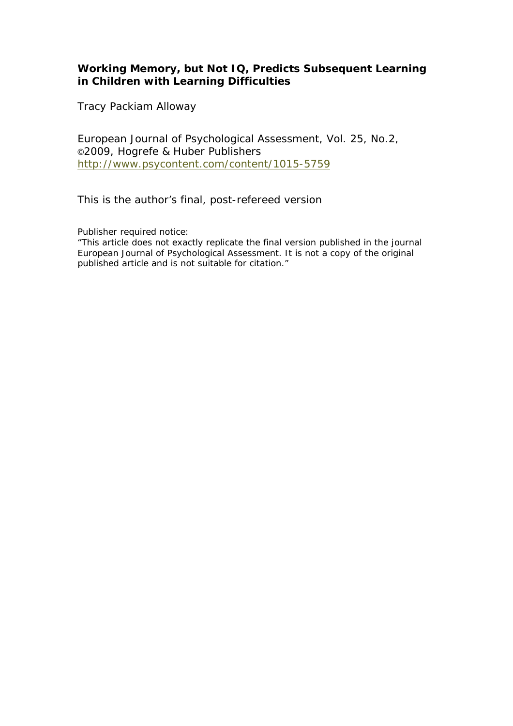# **Working Memory, but Not IQ, Predicts Subsequent Learning in Children with Learning Difficulties**

Tracy Packiam Alloway

European Journal of Psychological Assessment, Vol. 25, No.2, ©2009, Hogrefe & Huber Publishers http://www.psycontent.com/content/1015-5759

This is the author's final, post-refereed version

Publisher required notice:

"This article does not exactly replicate the final version published in the journal European Journal of Psychological Assessment. It is not a copy of the original published article and is not suitable for citation."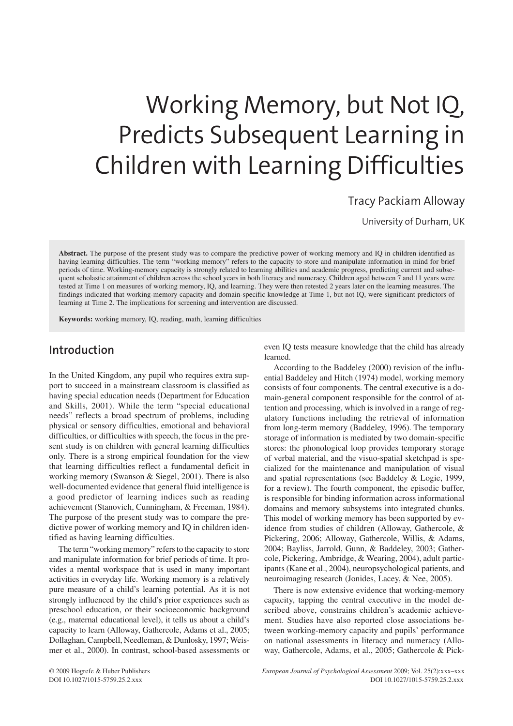# Working Memory, but Not IQ, Predicts Subsequent Learning in Children with Learning Difficulties

Tracy Packiam Alloway

University of Durham, UK

**Abstract.** The purpose of the present study was to compare the predictive power of working memory and IQ in children identified as having learning difficulties. The term "working memory" refers to the capacity to store and manipulate information in mind for brief periods of time. Working-memory capacity is strongly related to learning abilities and academic progress, predicting current and subsequent scholastic attainment of children across the school years in both literacy and numeracy. Children aged between 7 and 11 years were tested at Time 1 on measures of working memory, IQ, and learning. They were then retested 2 years later on the learning measures. The findings indicated that working-memory capacity and domain-specific knowledge at Time 1, but not IQ, were significant predictors of learning at Time 2. The implications for screening and intervention are discussed.

**Keywords:** working memory, IQ, reading, math, learning difficulties

## **Introduction**

In the United Kingdom, any pupil who requires extra support to succeed in a mainstream classroom is classified as having special education needs (Department for Education and Skills, 2001). While the term "special educational needs" reflects a broad spectrum of problems, including physical or sensory difficulties, emotional and behavioral difficulties, or difficulties with speech, the focus in the present study is on children with general learning difficulties only. There is a strong empirical foundation for the view that learning difficulties reflect a fundamental deficit in working memory (Swanson & Siegel, 2001). There is also well-documented evidence that general fluid intelligence is a good predictor of learning indices such as reading achievement (Stanovich, Cunningham, & Freeman, 1984). The purpose of the present study was to compare the predictive power of working memory and IQ in children identified as having learning difficulties.

The term "working memory" refers to the capacity to store and manipulate information for brief periods of time. It provides a mental workspace that is used in many important activities in everyday life. Working memory is a relatively pure measure of a child's learning potential. As it is not strongly influenced by the child's prior experiences such as preschool education, or their socioeconomic background (e.g., maternal educational level), it tells us about a child's capacity to learn (Alloway, Gathercole, Adams et al., 2005; Dollaghan, Campbell, Needleman, & Dunlosky, 1997; Weismer et al., 2000). In contrast, school-based assessments or

even IQ tests measure knowledge that the child has already learned.

According to the Baddeley (2000) revision of the influential Baddeley and Hitch (1974) model, working memory consists of four components. The central executive is a domain-general component responsible for the control of attention and processing, which is involved in a range of regulatory functions including the retrieval of information from long-term memory (Baddeley, 1996). The temporary storage of information is mediated by two domain-specific stores: the phonological loop provides temporary storage of verbal material, and the visuo-spatial sketchpad is specialized for the maintenance and manipulation of visual and spatial representations (see Baddeley & Logie, 1999, for a review). The fourth component, the episodic buffer, is responsible for binding information across informational domains and memory subsystems into integrated chunks. This model of working memory has been supported by evidence from studies of children (Alloway, Gathercole, & Pickering, 2006; Alloway, Gathercole, Willis, & Adams, 2004; Bayliss, Jarrold, Gunn, & Baddeley, 2003; Gathercole, Pickering, Ambridge, & Wearing, 2004), adult participants (Kane et al., 2004), neuropsychological patients, and neuroimaging research (Jonides, Lacey, & Nee, 2005).

There is now extensive evidence that working-memory capacity, tapping the central executive in the model described above, constrains children's academic achievement. Studies have also reported close associations between working-memory capacity and pupils' performance on national assessments in literacy and numeracy (Alloway, Gathercole, Adams, et al., 2005; Gathercole & Pick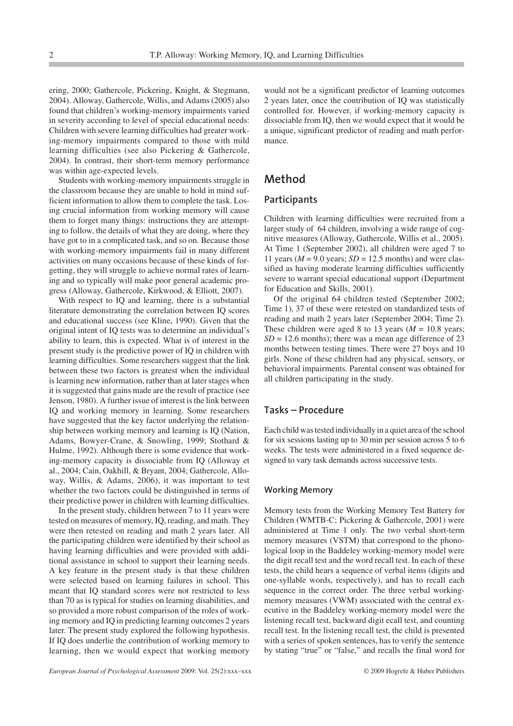ering, 2000; Gathercole, Pickering, Knight, & Stegmann, 2004). Alloway, Gathercole, Willis, and Adams (2005) also found that children's working-memory impairments varied in severity according to level of special educational needs: Children with severe learning difficulties had greater working-memory impairments compared to those with mild learning difficulties (see also Pickering & Gathercole, 2004). In contrast, their short-term memory performance was within age-expected levels.

Students with working-memory impairments struggle in the classroom because they are unable to hold in mind sufficient information to allow them to complete the task. Losing crucial information from working memory will cause them to forget many things: instructions they are attempting to follow, the details of what they are doing, where they have got to in a complicated task, and so on. Because those with working-memory impairments fail in many different activities on many occasions because of these kinds of forgetting, they will struggle to achieve normal rates of learning and so typically will make poor general academic progress (Alloway, Gathercole, Kirkwood, & Elliott, 2007).

With respect to IQ and learning, there is a substantial literature demonstrating the correlation between IQ scores and educational success (see Kline, 1990). Given that the original intent of IQ tests was to determine an individual's ability to learn, this is expected. What is of interest in the present study is the predictive power of IQ in children with learning difficulties. Some researchers suggest that the link between these two factors is greatest when the individual is learning new information, rather than at later stages when it is suggested that gains made are the result of practice (see Jenson, 1980). A further issue of interest is the link between IQ and working memory in learning. Some researchers have suggested that the key factor underlying the relationship between working memory and learning is IQ (Nation, Adams, Bowyer-Crane, & Snowling, 1999; Stothard & Hulme, 1992). Although there is some evidence that working-memory capacity is dissociable from IQ (Alloway et al., 2004; Cain, Oakhill, & Bryant, 2004; Gathercole, Alloway, Willis, & Adams, 2006), it was important to test whether the two factors could be distinguished in terms of their predictive power in children with learning difficulties.

In the present study, children between 7 to 11 years were tested on measures of memory, IQ, reading, and math. They were then retested on reading and math 2 years later. All the participating children were identified by their school as having learning difficulties and were provided with additional assistance in school to support their learning needs. A key feature in the present study is that these children were selected based on learning failures in school. This meant that IQ standard scores were not restricted to less than 70 as is typical for studies on learning disabilities, and so provided a more robust comparison of the roles of working memory and IQ in predicting learning outcomes 2 years later. The present study explored the following hypothesis. If IQ does underlie the contribution of working memory to learning, then we would expect that working memory

would not be a significant predictor of learning outcomes 2 years later, once the contribution of IQ was statistically controlled for. However, if working-memory capacity is dissociable from IQ, then we would expect that it would be a unique, significant predictor of reading and math performance.

## **Method**

## **Participants**

Children with learning difficulties were recruited from a larger study of 64 children, involving a wide range of cognitive measures (Alloway, Gathercole, Willis et al., 2005). At Time 1 (September 2002), all children were aged 7 to 11 years ( $M = 9.0$  years;  $SD = 12.5$  months) and were classified as having moderate learning difficulties sufficiently severe to warrant special educational support (Department for Education and Skills, 2001).

Of the original 64 children tested (September 2002; Time 1), 37 of these were retested on standardized tests of reading and math 2 years later (September 2004; Time 2). These children were aged 8 to 13 years  $(M = 10.8$  years;  $SD = 12.6$  months); there was a mean age difference of 23 months between testing times. There were 27 boys and 10 girls. None of these children had any physical, sensory, or behavioral impairments. Parental consent was obtained for all children participating in the study.

### **Tasks – Procedure**

Each child was tested individually in a quiet area of the school for six sessions lasting up to 30 min per session across 5 to 6 weeks. The tests were administered in a fixed sequence designed to vary task demands across successive tests.

#### **Working Memory**

Memory tests from the Working Memory Test Battery for Children (WMTB-C; Pickering & Gathercole, 2001) were administered at Time 1 only. The two verbal short-term memory measures (VSTM) that correspond to the phonological loop in the Baddeley working-memory model were the digit recall test and the word recall test. In each of these tests, the child hears a sequence of verbal items (digits and one-syllable words, respectively), and has to recall each sequence in the correct order. The three verbal workingmemory measures (VWM) associated with the central executive in the Baddeley working-memory model were the listening recall test, backward digit ecall test, and counting recall test. In the listening recall test, the child is presented with a series of spoken sentences, has to verify the sentence by stating "true" or "false," and recalls the final word for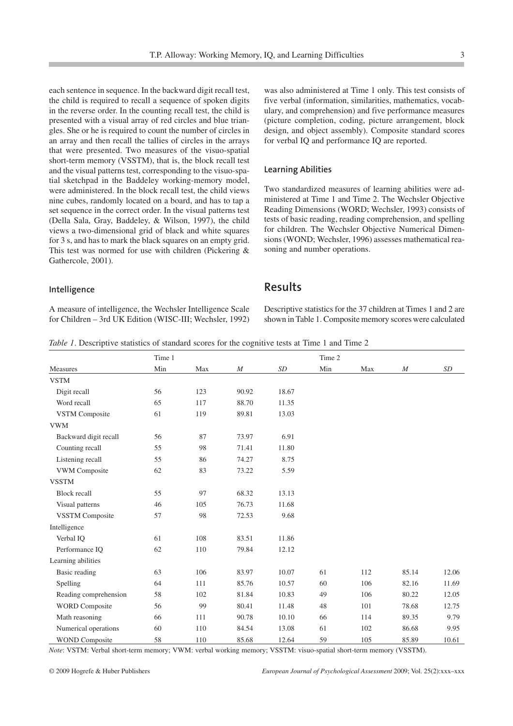each sentence in sequence. In the backward digit recall test, the child is required to recall a sequence of spoken digits in the reverse order. In the counting recall test, the child is presented with a visual array of red circles and blue triangles. She or he is required to count the number of circles in an array and then recall the tallies of circles in the arrays that were presented. Two measures of the visuo-spatial short-term memory (VSSTM), that is, the block recall test and the visual patterns test, corresponding to the visuo-spatial sketchpad in the Baddeley working-memory model, were administered. In the block recall test, the child views nine cubes, randomly located on a board, and has to tap a set sequence in the correct order. In the visual patterns test (Della Sala, Gray, Baddeley, & Wilson, 1997), the child views a two-dimensional grid of black and white squares for 3 s, and has to mark the black squares on an empty grid. This test was normed for use with children (Pickering & Gathercole, 2001).

was also administered at Time 1 only. This test consists of five verbal (information, similarities, mathematics, vocabulary, and comprehension) and five performance measures (picture completion, coding, picture arrangement, block design, and object assembly). Composite standard scores for verbal IQ and performance IQ are reported.

#### **Learning Abilities**

Two standardized measures of learning abilities were administered at Time 1 and Time 2. The Wechsler Objective Reading Dimensions (WORD; Wechsler, 1993) consists of tests of basic reading, reading comprehension, and spelling for children. The Wechsler Objective Numerical Dimensions (WOND; Wechsler, 1996) assesses mathematical reasoning and number operations.

#### **Intelligence**

A measure of intelligence, the Wechsler Intelligence Scale for Children – 3rd UK Edition (WISC-III; Wechsler, 1992)

## **Results**

Descriptive statistics for the 37 children at Times 1 and 2 are shown in Table 1. Composite memory scores were calculated

*Table 1*. Descriptive statistics of standard scores for the cognitive tests at Time 1 and Time 2

|                        | Time 1 |     |          |       | Time 2 |     |       |       |
|------------------------|--------|-----|----------|-------|--------|-----|-------|-------|
| Measures               | Min    | Max | $\cal M$ | SD    | Min    | Max | M     | SD    |
| <b>VSTM</b>            |        |     |          |       |        |     |       |       |
| Digit recall           | 56     | 123 | 90.92    | 18.67 |        |     |       |       |
| Word recall            | 65     | 117 | 88.70    | 11.35 |        |     |       |       |
| <b>VSTM Composite</b>  | 61     | 119 | 89.81    | 13.03 |        |     |       |       |
| <b>VWM</b>             |        |     |          |       |        |     |       |       |
| Backward digit recall  | 56     | 87  | 73.97    | 6.91  |        |     |       |       |
| Counting recall        | 55     | 98  | 71.41    | 11.80 |        |     |       |       |
| Listening recall       | 55     | 86  | 74.27    | 8.75  |        |     |       |       |
| VWM Composite          | 62     | 83  | 73.22    | 5.59  |        |     |       |       |
| <b>VSSTM</b>           |        |     |          |       |        |     |       |       |
| <b>Block recall</b>    | 55     | 97  | 68.32    | 13.13 |        |     |       |       |
| Visual patterns        | 46     | 105 | 76.73    | 11.68 |        |     |       |       |
| <b>VSSTM</b> Composite | 57     | 98  | 72.53    | 9.68  |        |     |       |       |
| Intelligence           |        |     |          |       |        |     |       |       |
| Verbal IQ              | 61     | 108 | 83.51    | 11.86 |        |     |       |       |
| Performance IQ         | 62     | 110 | 79.84    | 12.12 |        |     |       |       |
| Learning abilities     |        |     |          |       |        |     |       |       |
| Basic reading          | 63     | 106 | 83.97    | 10.07 | 61     | 112 | 85.14 | 12.06 |
| Spelling               | 64     | 111 | 85.76    | 10.57 | 60     | 106 | 82.16 | 11.69 |
| Reading comprehension  | 58     | 102 | 81.84    | 10.83 | 49     | 106 | 80.22 | 12.05 |
| <b>WORD</b> Composite  | 56     | 99  | 80.41    | 11.48 | 48     | 101 | 78.68 | 12.75 |
| Math reasoning         | 66     | 111 | 90.78    | 10.10 | 66     | 114 | 89.35 | 9.79  |
| Numerical operations   | 60     | 110 | 84.54    | 13.08 | 61     | 102 | 86.68 | 9.95  |
| <b>WOND Composite</b>  | 58     | 110 | 85.68    | 12.64 | 59     | 105 | 85.89 | 10.61 |

*Note*: VSTM: Verbal short-term memory; VWM: verbal working memory; VSSTM: visuo-spatial short-term memory (VSSTM).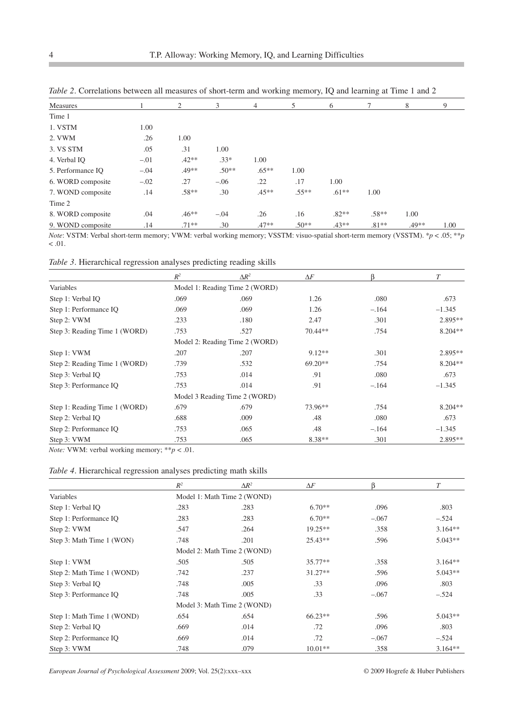| Measures          |        | 2       | 3       | $\overline{4}$ | 5       | 6       |         | 8     | 9    |
|-------------------|--------|---------|---------|----------------|---------|---------|---------|-------|------|
| Time 1            |        |         |         |                |         |         |         |       |      |
| 1. VSTM           | 1.00   |         |         |                |         |         |         |       |      |
| 2. VWM            | .26    | 1.00    |         |                |         |         |         |       |      |
| 3. VS STM         | .05    | .31     | 1.00    |                |         |         |         |       |      |
| 4. Verbal IO      | $-.01$ | $.42**$ | $.33*$  | 1.00           |         |         |         |       |      |
| 5. Performance IQ | $-.04$ | $.49**$ | $.50**$ | $.65***$       | 1.00    |         |         |       |      |
| 6. WORD composite | $-.02$ | .27     | $-.06$  | .22            | .17     | 1.00    |         |       |      |
| 7. WOND composite | .14    | $.58**$ | .30     | $.45**$        | $.55**$ | $.61**$ | 1.00    |       |      |
| Time 2            |        |         |         |                |         |         |         |       |      |
| 8. WORD composite | .04    | $.46**$ | $-.04$  | .26            | .16     | $.82**$ | $.58**$ | 1.00  |      |
| 9. WOND composite | .14    | $.71**$ | .30     | $.47**$        | $.50**$ | $.43**$ | $.81**$ | .49** | 1.00 |

*Table 2*. Correlations between all measures of short-term and working memory, IQ and learning at Time 1 and 2

*Note*: VSTM: Verbal short-term memory; VWM: verbal working memory; VSSTM: visuo-spatial short-term memory (VSSTM). \**p* < .05; \*\**p*  $<.01.$ 

*Table 3*. Hierarchical regression analyses predicting reading skills

|                               | $R^2$                          | $\Delta R^2$                   | $\Delta F$ | ß       | T         |  |  |  |
|-------------------------------|--------------------------------|--------------------------------|------------|---------|-----------|--|--|--|
| Variables                     |                                | Model 1: Reading Time 2 (WORD) |            |         |           |  |  |  |
| Step 1: Verbal IQ             | .069                           | .069                           | 1.26       | .080    | .673      |  |  |  |
| Step 1: Performance IQ        | .069                           | .069                           | 1.26       | $-.164$ | $-1.345$  |  |  |  |
| Step 2: VWM                   | .233                           | .180                           | 2.47       | .301    | $2.895**$ |  |  |  |
| Step 3: Reading Time 1 (WORD) | .753                           | .527                           | 70.44**    | .754    | $8.204**$ |  |  |  |
|                               | Model 2: Reading Time 2 (WORD) |                                |            |         |           |  |  |  |
| Step 1: VWM                   | .207                           | .207                           | $9.12**$   | .301    | $2.895**$ |  |  |  |
| Step 2: Reading Time 1 (WORD) | .739                           | .532                           | $69.20**$  | .754    | $8.204**$ |  |  |  |
| Step 3: Verbal IQ             | .753                           | .014                           | .91        | .080    | .673      |  |  |  |
| Step 3: Performance IQ        | .753                           | .014                           | .91        | $-.164$ | $-1.345$  |  |  |  |
|                               | Model 3 Reading Time 2 (WORD)  |                                |            |         |           |  |  |  |
| Step 1: Reading Time 1 (WORD) | .679                           | .679                           | 73.96**    | .754    | $8.204**$ |  |  |  |
| Step 2: Verbal IQ             | .688                           | .009                           | .48        | .080    | .673      |  |  |  |
| Step 2: Performance IQ        | .753                           | .065                           | .48        | $-.164$ | $-1.345$  |  |  |  |
| Step 3: VWM                   | .753                           | .065                           | $8.38**$   | .301    | $2.895**$ |  |  |  |

*Note:* VWM: verbal working memory; \*\**p* < .01.

## *Table 4*. Hierarchical regression analyses predicting math skills

|                            | $R^2$                       | $\Delta R^2$ | $\Delta F$ | ß       | T         |  |  |
|----------------------------|-----------------------------|--------------|------------|---------|-----------|--|--|
| Variables                  | Model 1: Math Time 2 (WOND) |              |            |         |           |  |  |
| Step 1: Verbal IQ          | .283                        | .283         | $6.70**$   | .096    | .803      |  |  |
| Step 1: Performance IQ     | .283                        | .283         | $6.70**$   | $-.067$ | $-.524$   |  |  |
| Step 2: VWM                | .547                        | .264         | $19.25**$  | .358    | $3.164**$ |  |  |
| Step 3: Math Time 1 (WON)  | .748                        | .201         | $25.43**$  | .596    | $5.043**$ |  |  |
|                            | Model 2: Math Time 2 (WOND) |              |            |         |           |  |  |
| Step 1: VWM                | .505                        | .505         | $35.77**$  | .358    | $3.164**$ |  |  |
| Step 2: Math Time 1 (WOND) | .742                        | .237         | $31.27**$  | .596    | $5.043**$ |  |  |
| Step 3: Verbal IQ          | .748                        | .005         | .33        | .096    | .803      |  |  |
| Step 3: Performance IQ     | .748                        | .005         | .33        | $-.067$ | $-.524$   |  |  |
|                            | Model 3: Math Time 2 (WOND) |              |            |         |           |  |  |
| Step 1: Math Time 1 (WOND) | .654                        | .654         | $66.23**$  | .596    | $5.043**$ |  |  |
| Step 2: Verbal IQ          | .669                        | .014         | .72        | .096    | .803      |  |  |
| Step 2: Performance IQ     | .669                        | .014         | .72        | $-.067$ | $-.524$   |  |  |
| Step 3: VWM                | .748                        | .079         | $10.01**$  | .358    | $3.164**$ |  |  |

*European Journal of Psychological Assessment* 2009; Vol. 25(2):xxx–xxx © 2009 Hogrefe & Huber Publishers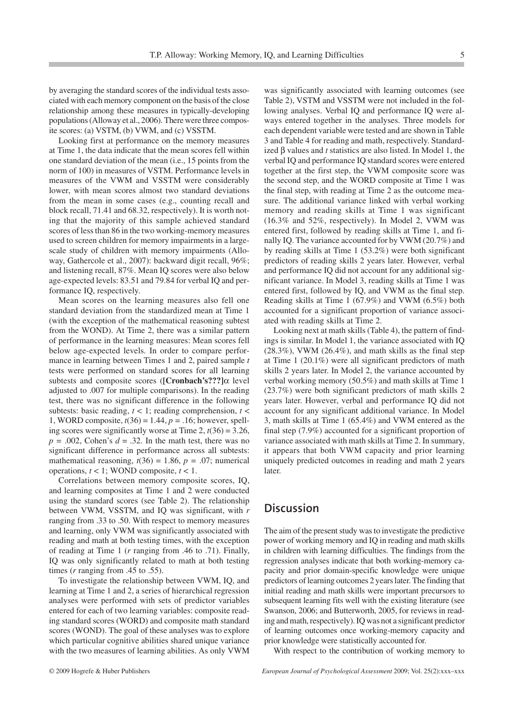by averaging the standard scores of the individual tests associated with each memory component on the basis of the close relationship among these measures in typically-developing populations (Alloway et al., 2006). There were three composite scores: (a) VSTM, (b) VWM, and (c) VSSTM.

Looking first at performance on the memory measures at Time 1, the data indicate that the mean scores fell within one standard deviation of the mean (i.e., 15 points from the norm of 100) in measures of VSTM. Performance levels in measures of the VWM and VSSTM were considerably lower, with mean scores almost two standard deviations from the mean in some cases (e.g., counting recall and block recall, 71.41 and 68.32, respectively). It is worth noting that the majority of this sample achieved standard scores of less than 86 in the two working-memory measures used to screen children for memory impairments in a largescale study of children with memory impairments (Alloway, Gathercole et al., 2007): backward digit recall, 96%; and listening recall, 87%. Mean IQ scores were also below age-expected levels: 83.51 and 79.84 for verbal IQ and performance IQ, respectively.

Mean scores on the learning measures also fell one standard deviation from the standardized mean at Time 1 (with the exception of the mathematical reasoning subtest from the WOND). At Time 2, there was a similar pattern of performance in the learning measures: Mean scores fell below age-expected levels. In order to compare performance in learning between Times 1 and 2, paired sample *t* tests were performed on standard scores for all learning subtests and composite scores (**[Cronbach's???]**α level adjusted to .007 for multiple comparisons). In the reading test, there was no significant difference in the following subtests: basic reading,  $t < 1$ ; reading comprehension,  $t <$ 1, WORD composite, *t*(36) = 1.44, *p =* .16; however, spelling scores were significantly worse at Time 2, *t*(36) = 3.26,  $p = .002$ , Cohen's  $d = .32$ . In the math test, there was no significant difference in performance across all subtests: mathematical reasoning,  $t(36) = 1.86$ ,  $p = .07$ ; numerical operations, *t* < 1; WOND composite, *t* < 1.

Correlations between memory composite scores, IQ, and learning composites at Time 1 and 2 were conducted using the standard scores (see Table 2). The relationship between VWM, VSSTM, and IQ was significant, with *r* ranging from .33 to .50. With respect to memory measures and learning, only VWM was significantly associated with reading and math at both testing times, with the exception of reading at Time 1 (*r* ranging from .46 to .71). Finally, IQ was only significantly related to math at both testing times (*r* ranging from .45 to .55).

To investigate the relationship between VWM, IQ, and learning at Time 1 and 2, a series of hierarchical regression analyses were performed with sets of predictor variables entered for each of two learning variables: composite reading standard scores (WORD) and composite math standard scores (WOND). The goal of these analyses was to explore which particular cognitive abilities shared unique variance with the two measures of learning abilities. As only VWM was significantly associated with learning outcomes (see Table 2), VSTM and VSSTM were not included in the following analyses. Verbal IQ and performance IQ were always entered together in the analyses. Three models for each dependent variable were tested and are shown in Table 3 and Table 4 for reading and math, respectively. Standardized β values and *t* statistics are also listed. In Model 1, the verbal IQ and performance IQ standard scores were entered together at the first step, the VWM composite score was the second step, and the WORD composite at Time 1 was the final step, with reading at Time 2 as the outcome measure. The additional variance linked with verbal working memory and reading skills at Time 1 was significant (16.3% and 52%, respectively). In Model 2, VWM was entered first, followed by reading skills at Time 1, and finally IQ. The variance accounted for by VWM (20.7%) and by reading skills at Time 1 (53.2%) were both significant predictors of reading skills 2 years later. However, verbal and performance IQ did not account for any additional significant variance. In Model 3, reading skills at Time 1 was entered first, followed by IQ, and VWM as the final step. Reading skills at Time 1 (67.9%) and VWM (6.5%) both accounted for a significant proportion of variance associated with reading skills at Time 2.

Looking next at math skills (Table 4), the pattern of findings is similar. In Model 1, the variance associated with IQ  $(28.3\%)$ , VWM  $(26.4\%)$ , and math skills as the final step at Time 1 (20.1%) were all significant predictors of math skills 2 years later. In Model 2, the variance accounted by verbal working memory (50.5%) and math skills at Time 1 (23.7%) were both significant predictors of math skills 2 years later. However, verbal and performance IQ did not account for any significant additional variance. In Model 3, math skills at Time 1 (65.4%) and VWM entered as the final step (7.9%) accounted for a significant proportion of variance associated with math skills at Time 2. In summary, it appears that both VWM capacity and prior learning uniquely predicted outcomes in reading and math 2 years later.

## **Discussion**

The aim of the present study was to investigate the predictive power of working memory and IQ in reading and math skills in children with learning difficulties. The findings from the regression analyses indicate that both working-memory capacity and prior domain-specific knowledge were unique predictors of learning outcomes 2 years later. The finding that initial reading and math skills were important precursors to subsequent learning fits well with the existing literature (see Swanson, 2006; and Butterworth, 2005, for reviews in reading and math, respectively). IQ was not a significant predictor of learning outcomes once working-memory capacity and prior knowledge were statistically accounted for.

With respect to the contribution of working memory to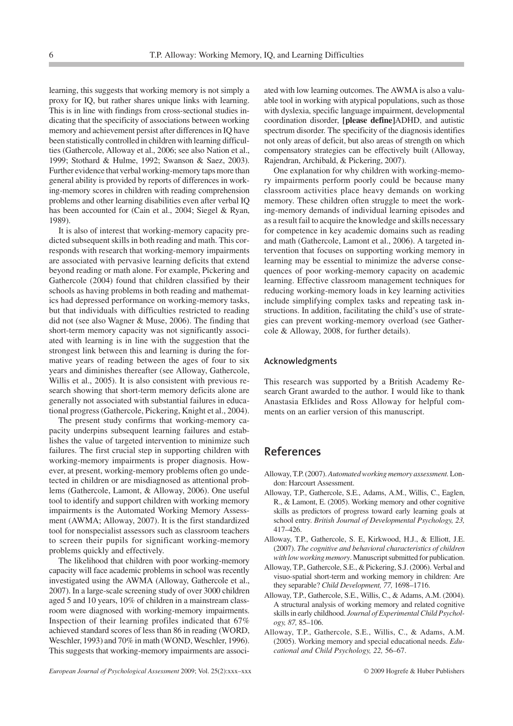learning, this suggests that working memory is not simply a proxy for IQ, but rather shares unique links with learning. This is in line with findings from cross-sectional studies indicating that the specificity of associations between working memory and achievement persist after differences in IQ have been statistically controlled in children with learning difficulties (Gathercole, Alloway et al., 2006; see also Nation et al., 1999; Stothard & Hulme, 1992; Swanson & Saez, 2003). Further evidence that verbal working-memory taps more than general ability is provided by reports of differences in working-memory scores in children with reading comprehension problems and other learning disabilities even after verbal IQ has been accounted for (Cain et al., 2004; Siegel & Ryan, 1989).

It is also of interest that working-memory capacity predicted subsequent skills in both reading and math. This corresponds with research that working-memory impairments are associated with pervasive learning deficits that extend beyond reading or math alone. For example, Pickering and Gathercole (2004) found that children classified by their schools as having problems in both reading and mathematics had depressed performance on working-memory tasks, but that individuals with difficulties restricted to reading did not (see also Wagner & Muse, 2006). The finding that short-term memory capacity was not significantly associated with learning is in line with the suggestion that the strongest link between this and learning is during the formative years of reading between the ages of four to six years and diminishes thereafter (see Alloway, Gathercole, Willis et al., 2005). It is also consistent with previous research showing that short-term memory deficits alone are generally not associated with substantial failures in educational progress (Gathercole, Pickering, Knight et al., 2004).

The present study confirms that working-memory capacity underpins subsequent learning failures and establishes the value of targeted intervention to minimize such failures. The first crucial step in supporting children with working-memory impairments is proper diagnosis. However, at present, working-memory problems often go undetected in children or are misdiagnosed as attentional problems (Gathercole, Lamont, & Alloway, 2006). One useful tool to identify and support children with working memory impairments is the Automated Working Memory Assessment (AWMA; Alloway, 2007). It is the first standardized tool for nonspecialist assessors such as classroom teachers to screen their pupils for significant working-memory problems quickly and effectively.

The likelihood that children with poor working-memory capacity will face academic problems in school was recently investigated using the AWMA (Alloway, Gathercole et al., 2007). In a large-scale screening study of over 3000 children aged 5 and 10 years, 10% of children in a mainstream classroom were diagnosed with working-memory impairments. Inspection of their learning profiles indicated that 67% achieved standard scores of less than 86 in reading (WORD, Weschler, 1993) and 70% in math (WOND, Weschler, 1996). This suggests that working-memory impairments are associated with low learning outcomes. The AWMA is also a valuable tool in working with atypical populations, such as those with dyslexia, specific language impairment, developmental coordination disorder, **[please define]**ADHD, and autistic spectrum disorder. The specificity of the diagnosis identifies not only areas of deficit, but also areas of strength on which compensatory strategies can be effectively built (Alloway, Rajendran, Archibald, & Pickering, 2007).

One explanation for why children with working-memory impairments perform poorly could be because many classroom activities place heavy demands on working memory. These children often struggle to meet the working-memory demands of individual learning episodes and as a result fail to acquire the knowledge and skills necessary for competence in key academic domains such as reading and math (Gathercole, Lamont et al., 2006). A targeted intervention that focuses on supporting working memory in learning may be essential to minimize the adverse consequences of poor working-memory capacity on academic learning. Effective classroom management techniques for reducing working-memory loads in key learning activities include simplifying complex tasks and repeating task instructions. In addition, facilitating the child's use of strategies can prevent working-memory overload (see Gathercole & Alloway, 2008, for further details).

#### **Acknowledgments**

This research was supported by a British Academy Research Grant awarded to the author. I would like to thank Anastasia Efklides and Ross Alloway for helpful comments on an earlier version of this manuscript.

# **References**

- Alloway, T.P. (2007).*Automated working memory assessment.*London: Harcourt Assessment.
- Alloway, T.P., Gathercole, S.E., Adams, A.M., Willis, C., Eaglen, R., & Lamont, E. (2005). Working memory and other cognitive skills as predictors of progress toward early learning goals at school entry. *British Journal of Developmental Psychology, 23,* 417–426.
- Alloway, T.P., Gathercole, S. E, Kirkwood, H.J., & Elliott, J.E. (2007). *The cognitive and behavioral characteristics of children with low working memory*. Manuscript submitted for publication.
- Alloway, T.P., Gathercole, S.E., & Pickering, S.J. (2006). Verbal and visuo-spatial short-term and working memory in children: Are they separable? *Child Development, 77,* 1698–1716.
- Alloway, T.P., Gathercole, S.E., Willis, C., & Adams, A.M. (2004). A structural analysis of working memory and related cognitive skills in early childhood. *Journal of Experimental Child Psychology, 87,* 85–106.
- Alloway, T.P., Gathercole, S.E., Willis, C., & Adams, A.M. (2005). Working memory and special educational needs. *Educational and Child Psychology, 22,* 56–67.

*European Journal of Psychological Assessment* 2009; Vol. 25(2):xxx–xxx © 2009 Hogrefe & Huber Publishers